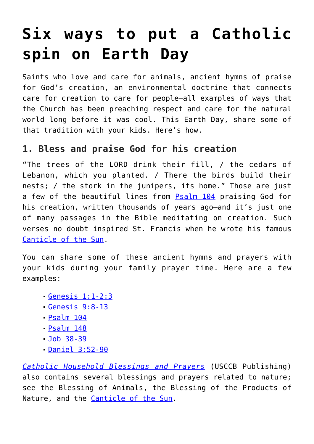# **[Six ways to put a Catholic](https://www.teachingcatholickids.com/nine-ways-to-put-a-catholic-spin-on-earth-day/) [spin on Earth Day](https://www.teachingcatholickids.com/nine-ways-to-put-a-catholic-spin-on-earth-day/)**

Saints who love and care for animals, ancient hymns of praise for God's creation, an environmental doctrine that connects care for creation to care for people—all examples of ways that the Church has been preaching respect and care for the natural world long before it was cool. This Earth Day, share some of that tradition with your kids. Here's how.

#### **1. Bless and praise God for his creation**

"The trees of the LORD drink their fill, / the cedars of Lebanon, which you planted. / There the birds build their nests; / the stork in the junipers, its home." Those are just a few of the beautiful lines from **[Psalm 104](http://www.usccb.org/bible/psalms/104)** praising God for his creation, written thousands of years ago-and it's just one of many passages in the Bible meditating on creation. Such verses no doubt inspired St. Francis when he wrote his famous [Canticle of the Sun.](https://teachingcatholickids.com/canticle-of-the-sun/)

You can share some of these ancient hymns and prayers with your kids during your family prayer time. Here are a few examples:

- [Genesis 1:1-2:3](http://www.usccb.org/bible/genesis/1:1)
- [Genesis 9:8-13](http://www.usccb.org/bible/genesis/9:9)
- [Psalm 104](http://www.usccb.org/bible/psalms/104)
- [Psalm 148](http://www.usccb.org/bible/psalms/148)
- [Job 38-39](http://www.usccb.org/bible/job/38)
- [Daniel 3:52-90](http://www.usccb.org/bible/Daniel/3:26)

*[Catholic Household Blessings and Prayers](http://amzn.to/22sgH4x)* (USCCB Publishing) also contains several blessings and prayers related to nature; see the Blessing of Animals, the Blessing of the Products of Nature, and the [Canticle of the Sun.](https://teachingcatholickids.com/canticle-of-the-sun/)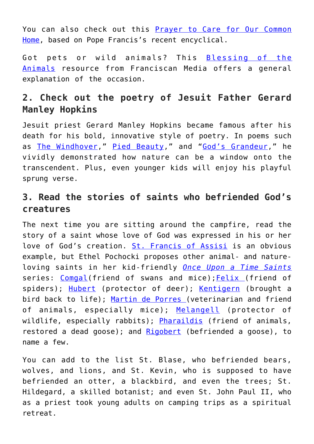You can also check out this [Prayer to Care for Our Common](http://wwwmigrate.usccb.org/prayer-and-worship/prayers-and-devotions/prayers/prayer-to-care-for-our-common-home.cfm) [Home](http://wwwmigrate.usccb.org/prayer-and-worship/prayers-and-devotions/prayers/prayer-to-care-for-our-common-home.cfm), based on Pope Francis's recent encyclical.

Got pets or wild animals? This [Blessing of the](http://www.franciscanfriarstor.com/archive/stfrancis/stf_blessing_of_animals.htm) [Animals](http://www.franciscanfriarstor.com/archive/stfrancis/stf_blessing_of_animals.htm) resource from Franciscan Media offers a general explanation of the occasion.

### **2. Check out the poetry of Jesuit Father Gerard Manley Hopkins**

Jesuit priest Gerard Manley Hopkins became famous after his death for his bold, innovative style of poetry. In poems such as [The Windhover](http://www.bartleby.com/122/12.html)," [Pied Beauty](http://www.poetryfoundation.org/poem/173664)," and "[God's Grandeur](http://www.poetryfoundation.org/poem/173660)," he vividly demonstrated how nature can be a window onto the transcendent. Plus, even younger kids will enjoy his playful sprung verse.

### **3. Read the stories of saints who befriended God's creatures**

The next time you are sitting around the campfire, read the story of a saint whose love of God was expressed in his or her love of God's creation. [St. Francis of Assisi](https://teachingcatholickids.com/meet-st-francis-of-assisi-saints-for-kids/) is an obvious example, but Ethel Pochocki proposes other animal- and natureloving saints in her kid-friendly *[Once Upon a Time Saints](http://www.amazon.com/Once-upon-Saints-Ethel-Pochocki/dp/1883937159)* series: [Comgal](http://en.wikipedia.org/wiki/Comgall)(friend of swans and mice); [Felix](http://en.wikipedia.org/wiki/Felix_of_Nola) (friend of spiders); [Hubert](http://en.wikipedia.org/wiki/Hubertus) (protector of deer); [Kentigern](http://en.wikipedia.org/wiki/Saint_Mungo) (brought a bird back to life); [Martin de Porres \(](https://teachingcatholickids.com/st-martin-de-porres/)veterinarian and friend of animals, especially mice); [Melangell](http://en.wikipedia.org/wiki/Melangell) (protector of wildlife, especially rabbits); [Pharaildis](http://en.wikipedia.org/wiki/Pharaildis) (friend of animals, restored a dead goose); and [Rigobert](http://en.wikipedia.org/wiki/Rigobert) (befriended a goose), to name a few.

You can add to the list St. Blase, who befriended bears, wolves, and lions, and St. Kevin, who is supposed to have befriended an otter, a blackbird, and even the trees; St. Hildegard, a skilled botanist; and even St. John Paul II, who as a priest took young adults on camping trips as a spiritual retreat.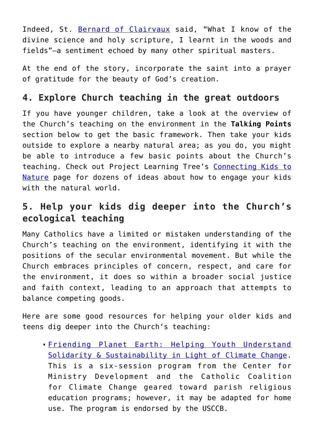Indeed, St. [Bernard of Clairvaux](https://www.goodreads.com/author/show/2734978.Bernard_of_Clairvaux) said, "What I know of the divine science and holy scripture, I learnt in the woods and fields"—a sentiment echoed by many other spiritual masters.

At the end of the story, incorporate the saint into a prayer of gratitude for the beauty of God's creation.

#### **4. Explore Church teaching in the great outdoors**

If you have younger children, take a look at the overview of the Church's teaching on the environment in the **Talking Points** section below to get the basic framework. Then take your kids outside to explore a nearby natural area; as you do, you might be able to introduce a few basic points about the Church's teaching. Check out Project Learning Tree's [Connecting Kids to](https://www.plt.org/connecting-kids-to-nature-family-activities) [Nature](https://www.plt.org/connecting-kids-to-nature-family-activities) page for dozens of ideas about how to engage your kids with the natural world.

### **5. Help your kids dig deeper into the Church's ecological teaching**

Many Catholics have a limited or mistaken understanding of the Church's teaching on the environment, identifying it with the positions of the secular environmental movement. But while the Church embraces principles of concern, respect, and care for the environment, it does so within a broader social justice and faith context, leading to an approach that attempts to balance competing goods.

Here are some good resources for helping your older kids and teens dig deeper into the Church's teaching:

[Friending Planet Earth: Helping Youth Understand](http://wwwmigrate.usccb.org/issues-and-action/human-life-and-dignity/environment/upload/friending-planet-earth.pdf) [Solidarity & Sustainability in Light of Climate Change.](http://wwwmigrate.usccb.org/issues-and-action/human-life-and-dignity/environment/upload/friending-planet-earth.pdf) This is a six-session program from the Center for Ministry Development and the Catholic Coalition for Climate Change geared toward parish religious education programs; however, it may be adapted for home use. The program is endorsed by the USCCB.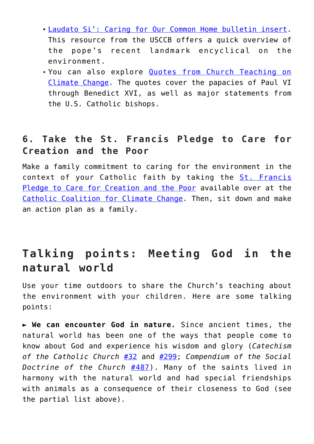- [Laudato Si': Caring for Our Common Home bulletin insert.](http://wwwmigrate.usccb.org/issues-and-action/human-life-and-dignity/environment/upload/laudato-si-bulletin-insert.pdf) This resource from the USCCB offers a quick overview of the pope's recent landmark encyclical on the environment.
- You can also explore [Quotes from Church Teaching on](http://wwwmigrate.usccb.org/issues-and-action/human-life-and-dignity/environment/upload/chuch-teaching-ecology.pdf) [Climate Change](http://wwwmigrate.usccb.org/issues-and-action/human-life-and-dignity/environment/upload/chuch-teaching-ecology.pdf). The quotes cover the papacies of Paul VI through Benedict XVI, as well as major statements from the U.S. Catholic bishops.

#### **6. Take the St. Francis Pledge to Care for Creation and the Poor**

Make a family commitment to caring for the environment in the context of your Catholic faith by taking the [St. Francis](http://catholicclimatecovenant.org/the-st-francis-pledge/) [Pledge to Care for Creation and the Poor](http://catholicclimatecovenant.org/the-st-francis-pledge/) available over at the [Catholic Coalition for Climate Change.](http://catholicclimatecovenant.org/) Then, sit down and make an action plan as a family.

## **Talking points: Meeting God in the natural world**

Use your time outdoors to share the Church's teaching about the environment with your children. Here are some talking points:

► **We can encounter God in nature.** Since ancient times, the natural world has been one of the ways that people come to know about God and experience his wisdom and glory (*Catechism of the Catholic Church* [#32](http://www.vatican.va/archive/ccc_css/archive/catechism/p1s1c1.htm#32) and [#299](http://www.vatican.va/archive/ccc_css/archive/catechism/p1s2c1p4.htm); *Compendium of the Social Doctrine of the Church* [#487\)](http://www.vatican.va/archive/compendium_ccc/documents/archive_2005_compendium-ccc_en.html). Many of the saints lived in harmony with the natural world and had special friendships with animals as a consequence of their closeness to God (see the partial list above).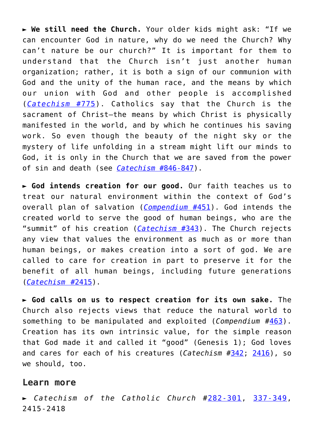► **We still need the Church.** Your older kids might ask: "If we can encounter God in nature, why do we need the Church? Why can't nature be our church?" It is important for them to understand that the Church isn't just another human organization; rather, it is both a sign of our communion with God and the unity of the human race, and the means by which our union with God and other people is accomplished (*[Catechism](http://www.vatican.va/archive/ccc_css/archive/catechism/p123a9p1.htm#775)* [#775](http://www.vatican.va/archive/ccc_css/archive/catechism/p123a9p1.htm#775)). Catholics say that the Church is the sacrament of Christ—the means by which Christ is physically manifested in the world, and by which he continues his saving work. So even though the beauty of the night sky or the mystery of life unfolding in a stream might lift our minds to God, it is only in the Church that we are saved from the power of sin and death (see *[Catechism](http://www.vatican.va/archive/ENG0015/__P29.HTM#846)* [#846-847\)](http://www.vatican.va/archive/ENG0015/__P29.HTM#846).

► **God intends creation for our good.** Our faith teaches us to treat our natural environment within the context of God's overall plan of salvation (*[Compendium](http://www.vatican.va/archive/compendium_ccc/documents/archive_2005_compendium-ccc_en.html)* [#451](http://www.vatican.va/archive/compendium_ccc/documents/archive_2005_compendium-ccc_en.html)). God intends the created world to serve the good of human beings, who are the "summit" of his creation (*[Catechism](http://www.vatican.va/archive/ccc_css/archive/catechism/p1s2c1p5.htm#343)* [#343](http://www.vatican.va/archive/ccc_css/archive/catechism/p1s2c1p5.htm#343)). The Church rejects any view that values the environment as much as or more than human beings, or makes creation into a sort of god. We are called to care for creation in part to preserve it for the benefit of all human beings, including future generations (*[Catechism](http://www.vatican.va/archive/ccc_css/archive/catechism/p3s2c2a7.htm#2416)* [#](http://www.vatican.va/archive/ccc_css/archive/catechism/p3s2c2a7.htm#2416)[2415\)](http://www.vatican.va/archive/ccc_css/archive/catechism/p3s2c2a7.htm#2415).

► **God calls on us to respect creation for its own sake.** The Church also rejects views that reduce the natural world to something to be manipulated and exploited (*Compendium* #[463](http://www.vatican.va/archive/compendium_ccc/documents/archive_2005_compendium-ccc_en.html)). Creation has its own intrinsic value, for the simple reason that God made it and called it "good" (Genesis 1); God loves and cares for each of his creatures (*Catechism* #[342](http://www.vatican.va/archive/ccc_css/archive/catechism/p1s2c1p5.htm#342); [2416\)](http://www.vatican.va/archive/ccc_css/archive/catechism/p3s2c2a7.htm#2416), so we should, too.

#### **Learn more**

*► Catechism of the Catholic Church* #[282-301](http://www.vatican.va/archive/ccc_css/archive/catechism/p1s2c1p4.htm#282), [337-349,](http://www.vatican.va/archive/ccc_css/archive/catechism/p1s2c1p5.htm#337) 2415-2418